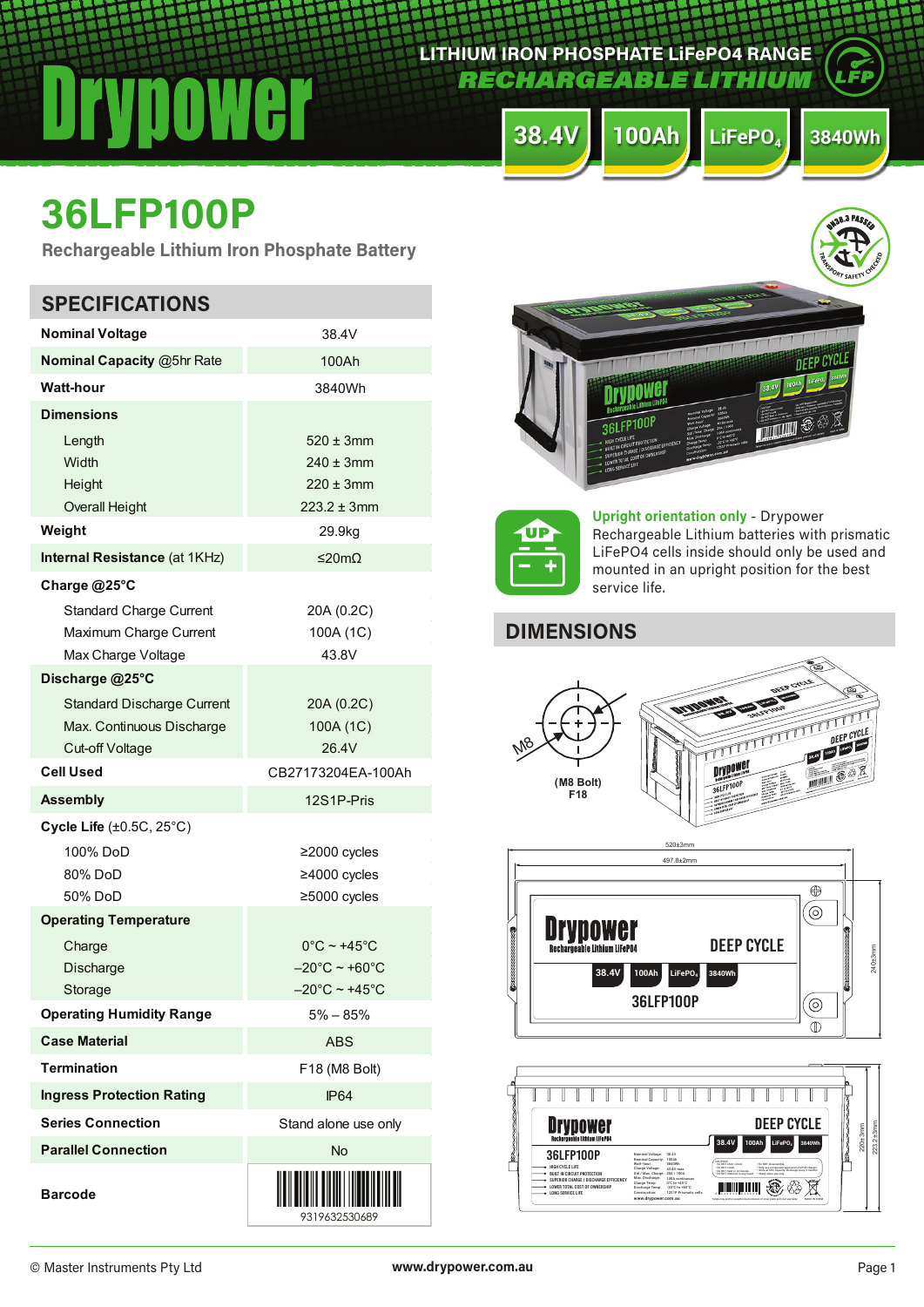*RECHARGEABLE LITHIU* 

**LITHIUM IRON PHOSPHATE LiFePO4 RANGE**

**38.4V 100Ah LiFePO4 3840Wh**

# **36LFP100P**

**Rechargeable Lithium Iron Phosphate Battery**

| <b>SPECIFICATIONS</b>                                                                          |                                                                                                              |
|------------------------------------------------------------------------------------------------|--------------------------------------------------------------------------------------------------------------|
| <b>Nominal Voltage</b>                                                                         | 38.4V                                                                                                        |
| Nominal Capacity @5hr Rate                                                                     | 100Ah                                                                                                        |
| <b>Watt-hour</b>                                                                               | 3840Wh                                                                                                       |
| <b>Dimensions</b>                                                                              |                                                                                                              |
| Length<br>Width<br>Height<br><b>Overall Height</b>                                             | $520 \pm 3$ mm<br>$240 \pm 3$ mm<br>$220 \pm 3$ mm<br>$223.2 \pm 3$ mm                                       |
| Weight                                                                                         | 29.9kg                                                                                                       |
| Internal Resistance (at 1KHz)                                                                  | ≤20mΩ                                                                                                        |
| Charge @25°C<br><b>Standard Charge Current</b><br>Maximum Charge Current<br>Max Charge Voltage | 20A (0.2C)<br>100A (1C)<br>43.8V                                                                             |
| Discharge @25°C                                                                                |                                                                                                              |
| <b>Standard Discharge Current</b><br>Max. Continuous Discharge<br>Cut-off Voltage              | 20A (0.2C)<br>100A (1C)<br>26.4V                                                                             |
| <b>Cell Used</b>                                                                               | CB27173204EA-100Ah                                                                                           |
| <b>Assembly</b>                                                                                | 12S1P-Pris                                                                                                   |
| Cycle Life $(\pm 0.5C, 25^{\circ}C)$<br>100% DoD<br>80% DoD<br>50% DoD                         | $\geq$ 2000 cycles<br>≥4000 cycles<br>≥5000 cycles                                                           |
| <b>Operating Temperature</b>                                                                   |                                                                                                              |
| Charge<br>Discharge<br>Storage                                                                 | $0^{\circ}$ C ~ +45 $^{\circ}$ C<br>$-20^{\circ}$ C ~ +60 $^{\circ}$ C<br>$-20^{\circ}$ C ~ +45 $^{\circ}$ C |
| <b>Operating Humidity Range</b>                                                                | $5\% - 85\%$                                                                                                 |
| <b>Case Material</b>                                                                           | ABS                                                                                                          |
| <b>Termination</b>                                                                             | F18 (M8 Bolt)                                                                                                |
| <b>Ingress Protection Rating</b>                                                               | <b>IP64</b>                                                                                                  |
| <b>Series Connection</b>                                                                       | Stand alone use only                                                                                         |
| <b>Parallel Connection</b>                                                                     | <b>No</b>                                                                                                    |
| <b>Barcode</b>                                                                                 | 9319632530689                                                                                                |





**Upright orientation only** - Drypower Rechargeable Lithium batteries with prismatic LiFePO4 cells inside should only be used and mounted in an upright position for the best service life.

**B.3 PASSE** 

# **DIMENSIONS**